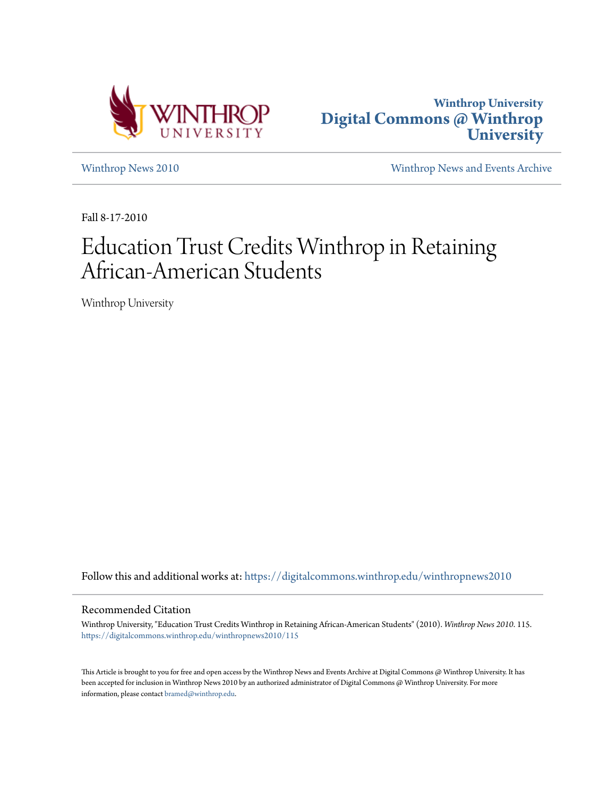



[Winthrop News 2010](https://digitalcommons.winthrop.edu/winthropnews2010?utm_source=digitalcommons.winthrop.edu%2Fwinthropnews2010%2F115&utm_medium=PDF&utm_campaign=PDFCoverPages) [Winthrop News and Events Archive](https://digitalcommons.winthrop.edu/winthropnewsarchives?utm_source=digitalcommons.winthrop.edu%2Fwinthropnews2010%2F115&utm_medium=PDF&utm_campaign=PDFCoverPages)

Fall 8-17-2010

# Education Trust Credits Winthrop in Retaining African-American Students

Winthrop University

Follow this and additional works at: [https://digitalcommons.winthrop.edu/winthropnews2010](https://digitalcommons.winthrop.edu/winthropnews2010?utm_source=digitalcommons.winthrop.edu%2Fwinthropnews2010%2F115&utm_medium=PDF&utm_campaign=PDFCoverPages)

#### Recommended Citation

Winthrop University, "Education Trust Credits Winthrop in Retaining African-American Students" (2010). *Winthrop News 2010*. 115. [https://digitalcommons.winthrop.edu/winthropnews2010/115](https://digitalcommons.winthrop.edu/winthropnews2010/115?utm_source=digitalcommons.winthrop.edu%2Fwinthropnews2010%2F115&utm_medium=PDF&utm_campaign=PDFCoverPages)

This Article is brought to you for free and open access by the Winthrop News and Events Archive at Digital Commons @ Winthrop University. It has been accepted for inclusion in Winthrop News 2010 by an authorized administrator of Digital Commons @ Winthrop University. For more information, please contact [bramed@winthrop.edu](mailto:bramed@winthrop.edu).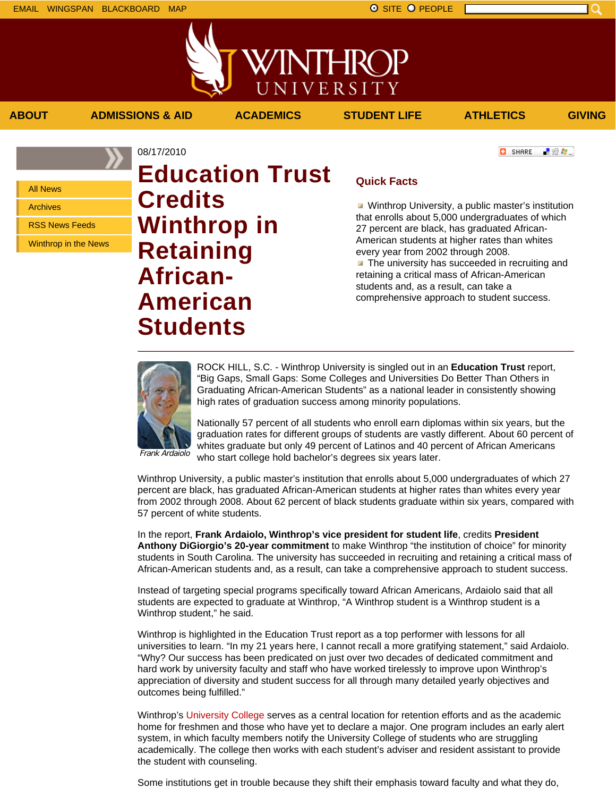- 82 年。

**C** SHARE

All News

Archives

RSS News Feeds

Winthrop in the News

## 08/17/2010 **Education Trust Credits Winthrop in Retaining African-American Students**

### **Quick Facts**

**ABOUT ADMISSIONS & AID ACADEMICS STUDENT LIFE ATHLETICS GIVING**

WINTHROP

UNIVERSITY

**Winthrop University, a public master's institution** that enrolls about 5,000 undergraduates of which 27 percent are black, has graduated African-American students at higher rates than whites every year from 2002 through 2008. **The university has succeeded in recruiting and** retaining a critical mass of African-American students and, as a result, can take a comprehensive approach to student success.



ROCK HILL, S.C. - Winthrop University is singled out in an **Education Trust** report, "Big Gaps, Small Gaps: Some Colleges and Universities Do Better Than Others in Graduating African-American Students" as a national leader in consistently showing high rates of graduation success among minority populations.

Nationally 57 percent of all students who enroll earn diplomas within six years, but the graduation rates for different groups of students are vastly different. About 60 percent of whites graduate but only 49 percent of Latinos and 40 percent of African Americans who start college hold bachelor's degrees six years later.

Frank Ardaiolo

Winthrop University, a public master's institution that enrolls about 5,000 undergraduates of which 27 percent are black, has graduated African-American students at higher rates than whites every year from 2002 through 2008. About 62 percent of black students graduate within six years, compared with 57 percent of white students.

In the report, **Frank Ardaiolo, Winthrop's vice president for student life**, credits **President Anthony DiGiorgio's 20-year commitment** to make Winthrop "the institution of choice" for minority students in South Carolina. The university has succeeded in recruiting and retaining a critical mass of African-American students and, as a result, can take a comprehensive approach to student success.

Instead of targeting special programs specifically toward African Americans, Ardaiolo said that all students are expected to graduate at Winthrop, "A Winthrop student is a Winthrop student is a Winthrop student," he said.

Winthrop is highlighted in the Education Trust report as a top performer with lessons for all universities to learn. "In my 21 years here, I cannot recall a more gratifying statement," said Ardaiolo. "Why? Our success has been predicated on just over two decades of dedicated commitment and hard work by university faculty and staff who have worked tirelessly to improve upon Winthrop's appreciation of diversity and student success for all through many detailed yearly objectives and outcomes being fulfilled."

Winthrop's University College serves as a central location for retention efforts and as the academic home for freshmen and those who have yet to declare a major. One program includes an early alert system, in which faculty members notify the University College of students who are struggling academically. The college then works with each student's adviser and resident assistant to provide the student with counseling.

Some institutions get in trouble because they shift their emphasis toward faculty and what they do,